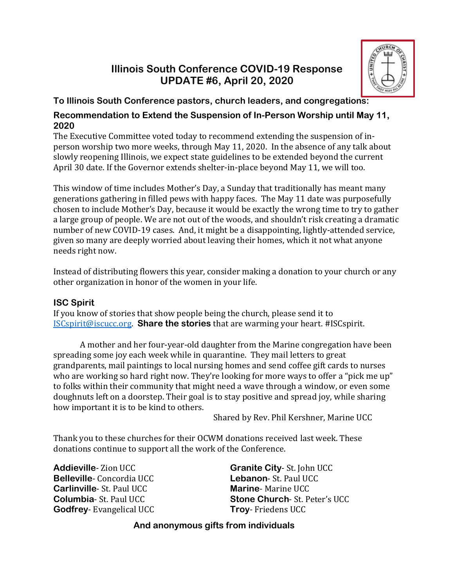# **Illinois South Conference COVID-19 Response UPDATE #6, April 20, 2020**



#### **To Illinois South Conference pastors, church leaders, and congregations:**

#### **Recommendation to Extend the Suspension of In-Person Worship until May 11, 2020**

The Executive Committee voted today to recommend extending the suspension of inperson worship two more weeks, through May 11, 2020. In the absence of any talk about slowly reopening Illinois, we expect state guidelines to be extended beyond the current April 30 date. If the Governor extends shelter-in-place beyond May 11, we will too.

This window of time includes Mother's Day, a Sunday that traditionally has meant many generations gathering in filled pews with happy faces. The May 11 date was purposefully chosen to include Mother's Day, because it would be exactly the wrong time to try to gather a large group of people. We are not out of the woods, and shouldn't risk creating a dramatic number of new COVID-19 cases. And, it might be a disappointing, lightly-attended service, given so many are deeply worried about leaving their homes, which it not what anyone needs right now.

Instead of distributing flowers this year, consider making a donation to your church or any other organization in honor of the women in your life.

## **ISC Spirit**

If you know of stories that show people being the church, please send it to [ISCspirit@iscucc.org.](mailto:ISCspirit@iscucc.org) **Share the stories** that are warming your heart. #ISCspirit.

A mother and her four-year-old daughter from the Marine congregation have been spreading some joy each week while in quarantine. They mail letters to great grandparents, mail paintings to local nursing homes and send coffee gift cards to nurses who are working so hard right now. They're looking for more ways to offer a "pick me up" to folks within their community that might need a wave through a window, or even some doughnuts left on a doorstep. Their goal is to stay positive and spread joy, while sharing how important it is to be kind to others.

Shared by Rev. Phil Kershner, Marine UCC

Thank you to these churches for their OCWM donations received last week. These donations continue to support all the work of the Conference.

**Addieville**- Zion UCC **Belleville**- Concordia UCC **Carlinville**- St. Paul UCC **Columbia**- St. Paul UCC **Godfrey**- Evangelical UCC **Granite City**- St. John UCC **Lebanon**- St. Paul UCC **Marine**- Marine UCC **Stone Church**- St. Peter's UCC **Troy**- Friedens UCC

## **And anonymous gifts from individuals**